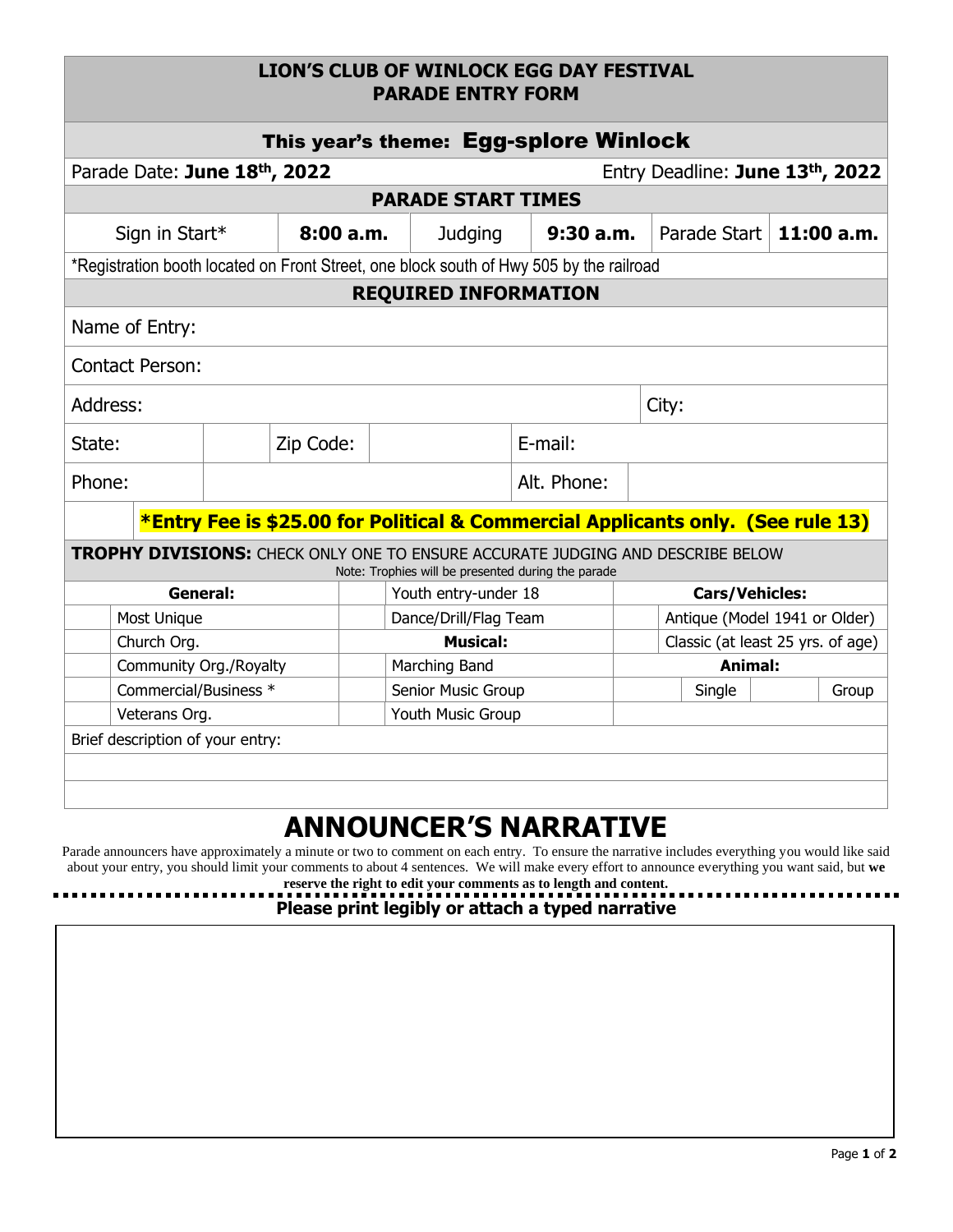## **LION'S CLUB OF WINLOCK EGG DAY FESTIVAL PARADE ENTRY FORM**

| This year's theme: Egg-splore Winlock                                                                                                       |                              |  |           |                            |                                                                                         |          |  |                                   |  |       |  |
|---------------------------------------------------------------------------------------------------------------------------------------------|------------------------------|--|-----------|----------------------------|-----------------------------------------------------------------------------------------|----------|--|-----------------------------------|--|-------|--|
|                                                                                                                                             | Parade Date: June 18th, 2022 |  |           |                            | Entry Deadline: June 13th, 2022                                                         |          |  |                                   |  |       |  |
| <b>PARADE START TIMES</b>                                                                                                                   |                              |  |           |                            |                                                                                         |          |  |                                   |  |       |  |
|                                                                                                                                             | Sign in Start*               |  |           | 8:00a.m.<br><b>Judging</b> |                                                                                         | 9:30a.m. |  | Parade Start   11:00 a.m.         |  |       |  |
|                                                                                                                                             |                              |  |           |                            | *Registration booth located on Front Street, one block south of Hwy 505 by the railroad |          |  |                                   |  |       |  |
| <b>REQUIRED INFORMATION</b>                                                                                                                 |                              |  |           |                            |                                                                                         |          |  |                                   |  |       |  |
| Name of Entry:                                                                                                                              |                              |  |           |                            |                                                                                         |          |  |                                   |  |       |  |
| <b>Contact Person:</b>                                                                                                                      |                              |  |           |                            |                                                                                         |          |  |                                   |  |       |  |
| Address:                                                                                                                                    |                              |  |           |                            |                                                                                         |          |  | City:                             |  |       |  |
| State:                                                                                                                                      |                              |  | Zip Code: | E-mail:                    |                                                                                         |          |  |                                   |  |       |  |
| Phone:                                                                                                                                      |                              |  |           |                            | Alt. Phone:                                                                             |          |  |                                   |  |       |  |
| *Entry Fee is \$25.00 for Political & Commercial Applicants only. (See rule 13)                                                             |                              |  |           |                            |                                                                                         |          |  |                                   |  |       |  |
| <b>TROPHY DIVISIONS:</b> CHECK ONLY ONE TO ENSURE ACCURATE JUDGING AND DESCRIBE BELOW<br>Note: Trophies will be presented during the parade |                              |  |           |                            |                                                                                         |          |  |                                   |  |       |  |
| General:                                                                                                                                    |                              |  |           | Youth entry-under 18       |                                                                                         |          |  | <b>Cars/Vehicles:</b>             |  |       |  |
|                                                                                                                                             | Most Unique                  |  |           | Dance/Drill/Flag Team      |                                                                                         |          |  | Antique (Model 1941 or Older)     |  |       |  |
|                                                                                                                                             | Church Org.                  |  |           | <b>Musical:</b>            |                                                                                         |          |  | Classic (at least 25 yrs. of age) |  |       |  |
|                                                                                                                                             | Community Org./Royalty       |  |           | Marching Band              |                                                                                         |          |  | <b>Animal:</b>                    |  |       |  |
|                                                                                                                                             | Commercial/Business *        |  |           | Senior Music Group         |                                                                                         |          |  | Single                            |  | Group |  |
| Veterans Org.                                                                                                                               |                              |  |           |                            |                                                                                         |          |  |                                   |  |       |  |
| Brief description of your entry:                                                                                                            |                              |  |           |                            |                                                                                         |          |  |                                   |  |       |  |
|                                                                                                                                             |                              |  |           |                            |                                                                                         |          |  |                                   |  |       |  |
|                                                                                                                                             |                              |  |           |                            |                                                                                         |          |  |                                   |  |       |  |
|                                                                                                                                             |                              |  |           | Youth Music Group          |                                                                                         |          |  |                                   |  |       |  |

## **ANNOUNCER'S NARRATIVE**

Parade announcers have approximately a minute or two to comment on each entry. To ensure the narrative includes everything you would like said about your entry, you should limit your comments to about 4 sentences. We will make every effort to announce everything you want said, but **we** 

------------

**reserve the right to edit your comments as to length and content. Please print legibly or attach a typed narrative**

. . . . . . . . . . . . . . . . .